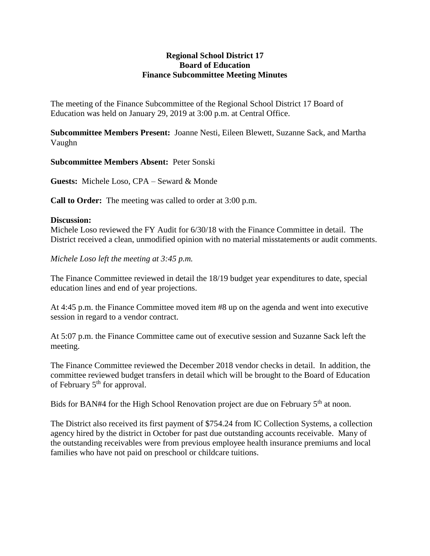## **Regional School District 17 Board of Education Finance Subcommittee Meeting Minutes**

The meeting of the Finance Subcommittee of the Regional School District 17 Board of Education was held on January 29, 2019 at 3:00 p.m. at Central Office.

**Subcommittee Members Present:** Joanne Nesti, Eileen Blewett, Suzanne Sack, and Martha Vaughn

**Subcommittee Members Absent:** Peter Sonski

**Guests:**Michele Loso, CPA – Seward & Monde

**Call to Order:** The meeting was called to order at 3:00 p.m.

## **Discussion:**

Michele Loso reviewed the FY Audit for 6/30/18 with the Finance Committee in detail. The District received a clean, unmodified opinion with no material misstatements or audit comments.

*Michele Loso left the meeting at 3:45 p.m.*

The Finance Committee reviewed in detail the 18/19 budget year expenditures to date, special education lines and end of year projections.

At 4:45 p.m. the Finance Committee moved item #8 up on the agenda and went into executive session in regard to a vendor contract.

At 5:07 p.m. the Finance Committee came out of executive session and Suzanne Sack left the meeting.

The Finance Committee reviewed the December 2018 vendor checks in detail. In addition, the committee reviewed budget transfers in detail which will be brought to the Board of Education of February 5<sup>th</sup> for approval.

Bids for BAN#4 for the High School Renovation project are due on February 5<sup>th</sup> at noon.

The District also received its first payment of \$754.24 from IC Collection Systems, a collection agency hired by the district in October for past due outstanding accounts receivable. Many of the outstanding receivables were from previous employee health insurance premiums and local families who have not paid on preschool or childcare tuitions.